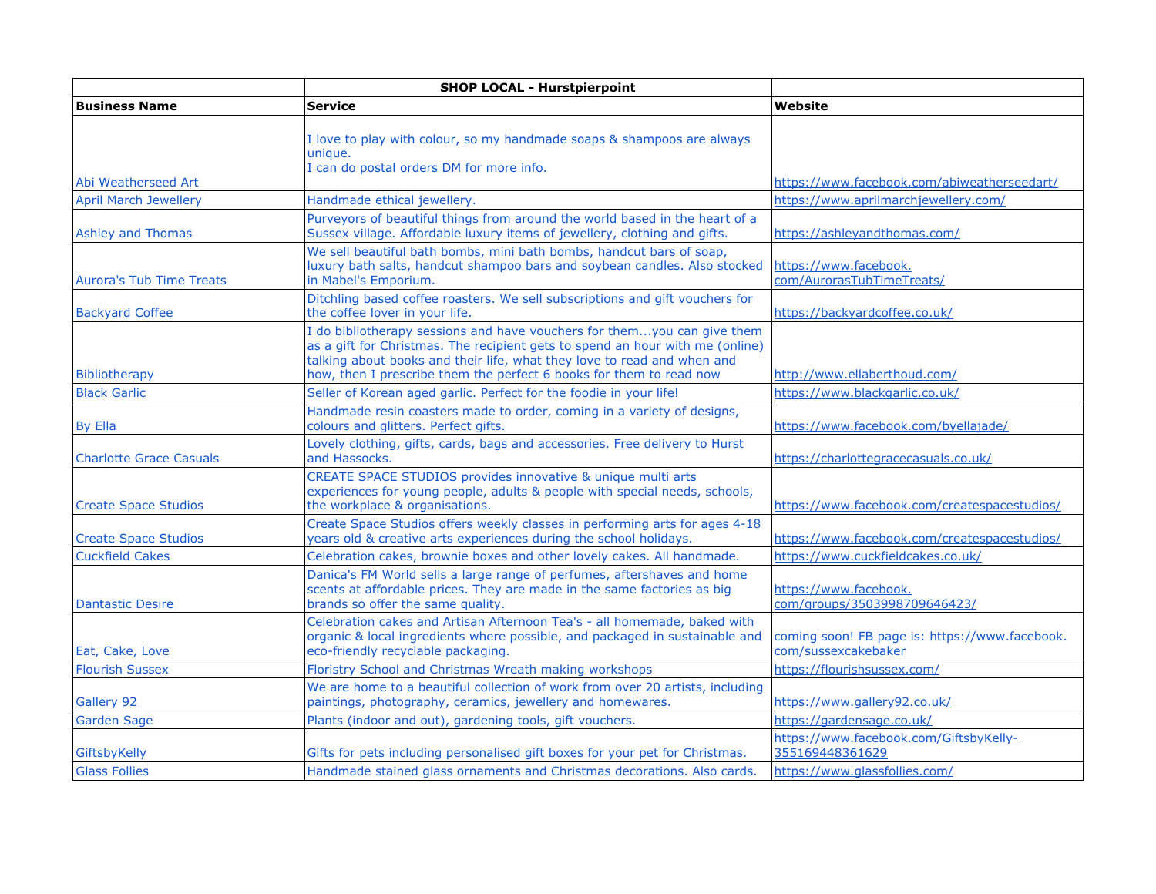|                                 | <b>SHOP LOCAL - Hurstpierpoint</b>                                                                                                                                                                                                                                                                         |                                                                       |
|---------------------------------|------------------------------------------------------------------------------------------------------------------------------------------------------------------------------------------------------------------------------------------------------------------------------------------------------------|-----------------------------------------------------------------------|
| <b>Business Name</b>            | <b>Service</b>                                                                                                                                                                                                                                                                                             | Website                                                               |
|                                 | I love to play with colour, so my handmade soaps & shampoos are always<br>unique.<br>I can do postal orders DM for more info.                                                                                                                                                                              |                                                                       |
| Abi Weatherseed Art             |                                                                                                                                                                                                                                                                                                            | https://www.facebook.com/abiweatherseedart/                           |
| <b>April March Jewellerv</b>    | Handmade ethical jewellery.                                                                                                                                                                                                                                                                                | https://www.aprilmarchjewellery.com/                                  |
| <b>Ashley and Thomas</b>        | Purveyors of beautiful things from around the world based in the heart of a<br>Sussex village. Affordable luxury items of jewellery, clothing and gifts.                                                                                                                                                   | https://ashleyandthomas.com/                                          |
| <b>Aurora's Tub Time Treats</b> | We sell beautiful bath bombs, mini bath bombs, handcut bars of soap,<br>luxury bath salts, handcut shampoo bars and soybean candles. Also stocked<br>in Mabel's Emporium.                                                                                                                                  | https://www.facebook.<br>com/AurorasTubTimeTreats/                    |
| <b>Backyard Coffee</b>          | Ditchling based coffee roasters. We sell subscriptions and gift vouchers for<br>the coffee lover in your life.                                                                                                                                                                                             | https://backyardcoffee.co.uk/                                         |
| <b>Bibliotherapy</b>            | I do bibliotherapy sessions and have vouchers for themyou can give them<br>as a gift for Christmas. The recipient gets to spend an hour with me (online)<br>talking about books and their life, what they love to read and when and<br>how, then I prescribe them the perfect 6 books for them to read now | http://www.ellaberthoud.com/                                          |
| <b>Black Garlic</b>             | Seller of Korean aged garlic. Perfect for the foodie in your life!                                                                                                                                                                                                                                         | https://www.blackgarlic.co.uk/                                        |
| <b>By Ella</b>                  | Handmade resin coasters made to order, coming in a variety of designs,<br>colours and glitters. Perfect gifts.                                                                                                                                                                                             | https://www.facebook.com/byellajade/                                  |
| <b>Charlotte Grace Casuals</b>  | Lovely clothing, gifts, cards, bags and accessories. Free delivery to Hurst<br>and Hassocks.                                                                                                                                                                                                               | https://charlottegracecasuals.co.uk/                                  |
| <b>Create Space Studios</b>     | CREATE SPACE STUDIOS provides innovative & unique multi arts<br>experiences for young people, adults & people with special needs, schools,<br>the workplace & organisations.                                                                                                                               | https://www.facebook.com/createspacestudios/                          |
| <b>Create Space Studios</b>     | Create Space Studios offers weekly classes in performing arts for ages 4-18<br>years old & creative arts experiences during the school holidays.                                                                                                                                                           | https://www.facebook.com/createspacestudios/                          |
| <b>Cuckfield Cakes</b>          | Celebration cakes, brownie boxes and other lovely cakes. All handmade.                                                                                                                                                                                                                                     | https://www.cuckfieldcakes.co.uk/                                     |
| <b>Dantastic Desire</b>         | Danica's FM World sells a large range of perfumes, aftershaves and home<br>scents at affordable prices. They are made in the same factories as big<br>brands so offer the same quality.                                                                                                                    | https://www.facebook.<br>com/groups/3503998709646423/                 |
| Eat, Cake, Love                 | Celebration cakes and Artisan Afternoon Tea's - all homemade, baked with<br>organic & local ingredients where possible, and packaged in sustainable and<br>eco-friendly recyclable packaging.                                                                                                              | coming soon! FB page is: https://www.facebook.<br>com/sussexcakebaker |
| <b>Flourish Sussex</b>          | Floristry School and Christmas Wreath making workshops                                                                                                                                                                                                                                                     | https://flourishsussex.com/                                           |
| Gallery 92                      | We are home to a beautiful collection of work from over 20 artists, including<br>paintings, photography, ceramics, jewellery and homewares.                                                                                                                                                                | https://www.gallery92.co.uk/                                          |
| Garden Sage                     | Plants (indoor and out), gardening tools, gift vouchers.                                                                                                                                                                                                                                                   | https://gardensage.co.uk/                                             |
| GiftsbyKelly                    | Gifts for pets including personalised gift boxes for your pet for Christmas.                                                                                                                                                                                                                               | https://www.facebook.com/GiftsbyKelly-<br>355169448361629             |
| <b>Glass Follies</b>            | Handmade stained glass ornaments and Christmas decorations. Also cards.                                                                                                                                                                                                                                    | https://www.glassfollies.com/                                         |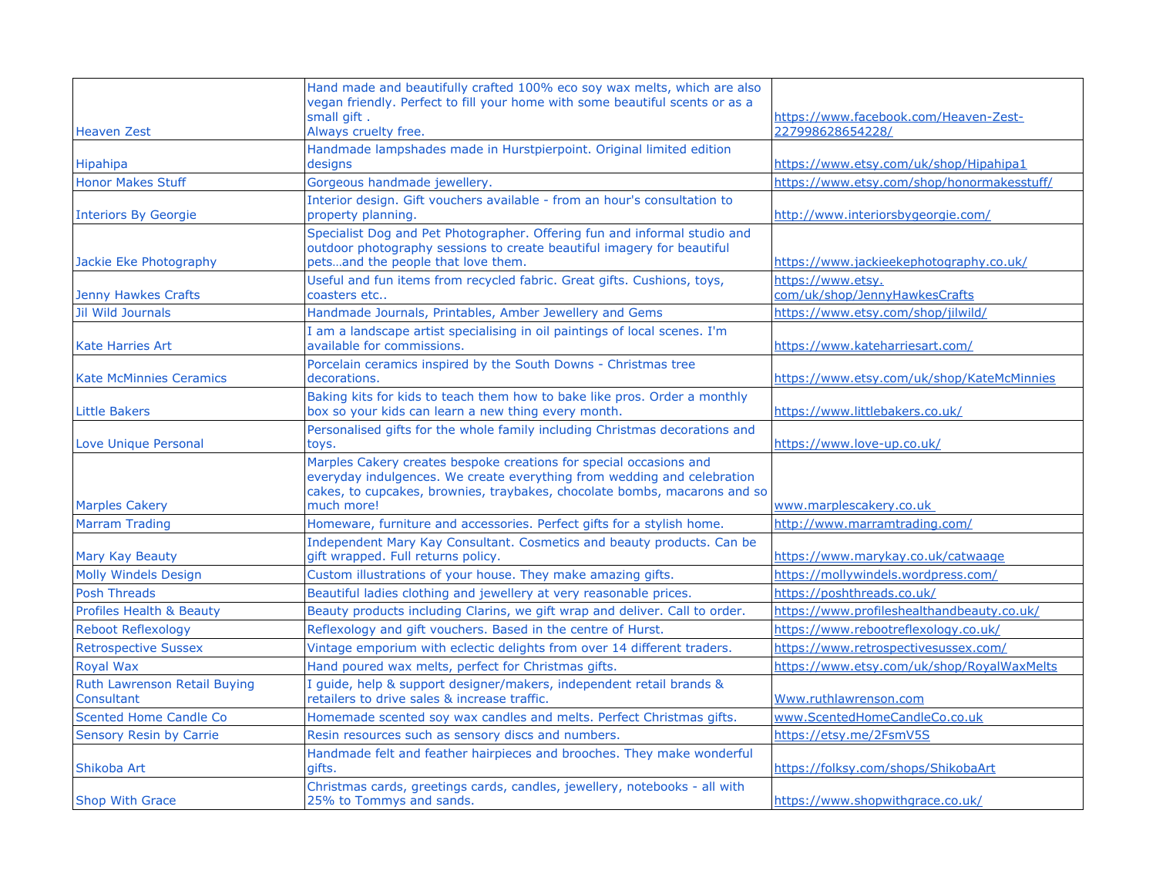| <b>Heaven Zest</b>                         | Hand made and beautifully crafted 100% eco soy wax melts, which are also<br>vegan friendly. Perfect to fill your home with some beautiful scents or as a<br>small gift.<br>Always cruelty free.                                          | https://www.facebook.com/Heaven-Zest-<br>227998628654228/ |
|--------------------------------------------|------------------------------------------------------------------------------------------------------------------------------------------------------------------------------------------------------------------------------------------|-----------------------------------------------------------|
| Hipahipa                                   | Handmade lampshades made in Hurstpierpoint. Original limited edition<br>designs                                                                                                                                                          | https://www.etsy.com/uk/shop/Hipahipa1                    |
| <b>Honor Makes Stuff</b>                   | Gorgeous handmade jewellery.                                                                                                                                                                                                             | https://www.etsy.com/shop/honormakesstuff/                |
| <b>Interiors By Georgie</b>                | Interior design. Gift vouchers available - from an hour's consultation to<br>property planning.                                                                                                                                          | http://www.interiorsbygeorgie.com/                        |
| Jackie Eke Photography                     | Specialist Dog and Pet Photographer. Offering fun and informal studio and<br>outdoor photography sessions to create beautiful imagery for beautiful<br>petsand the people that love them.                                                | https://www.jackieekephotography.co.uk/                   |
| <b>Jenny Hawkes Crafts</b>                 | Useful and fun items from recycled fabric. Great gifts. Cushions, toys,<br>coasters etc                                                                                                                                                  | https://www.etsy.<br>com/uk/shop/JennyHawkesCrafts        |
| <b>Jil Wild Journals</b>                   | Handmade Journals, Printables, Amber Jewellery and Gems                                                                                                                                                                                  | https://www.etsy.com/shop/jilwild/                        |
| <b>Kate Harries Art</b>                    | I am a landscape artist specialising in oil paintings of local scenes. I'm<br>available for commissions.                                                                                                                                 | https://www.kateharriesart.com/                           |
| <b>Kate McMinnies Ceramics</b>             | Porcelain ceramics inspired by the South Downs - Christmas tree<br>decorations.                                                                                                                                                          | https://www.etsy.com/uk/shop/KateMcMinnies                |
| <b>Little Bakers</b>                       | Baking kits for kids to teach them how to bake like pros. Order a monthly<br>box so your kids can learn a new thing every month.                                                                                                         | https://www.littlebakers.co.uk/                           |
| Love Unique Personal                       | Personalised gifts for the whole family including Christmas decorations and<br>toys.                                                                                                                                                     | https://www.love-up.co.uk/                                |
| <b>Marples Cakery</b>                      | Marples Cakery creates bespoke creations for special occasions and<br>everyday indulgences. We create everything from wedding and celebration<br>cakes, to cupcakes, brownies, traybakes, chocolate bombs, macarons and so<br>much more! | www.marplescakery.co.uk                                   |
| <b>Marram Trading</b>                      | Homeware, furniture and accessories. Perfect gifts for a stylish home.                                                                                                                                                                   | http://www.marramtrading.com/                             |
| Mary Kay Beauty                            | Independent Mary Kay Consultant. Cosmetics and beauty products. Can be<br>gift wrapped. Full returns policy.                                                                                                                             | https://www.marykay.co.uk/catwaage                        |
| <b>Molly Windels Design</b>                | Custom illustrations of your house. They make amazing gifts.                                                                                                                                                                             | https://mollywindels.wordpress.com/                       |
| <b>Posh Threads</b>                        | Beautiful ladies clothing and jewellery at very reasonable prices.                                                                                                                                                                       | https://poshthreads.co.uk/                                |
| <b>Profiles Health &amp; Beauty</b>        | Beauty products including Clarins, we gift wrap and deliver. Call to order.                                                                                                                                                              | https://www.profileshealthandbeauty.co.uk/                |
| <b>Reboot Reflexology</b>                  | Reflexology and gift vouchers. Based in the centre of Hurst.                                                                                                                                                                             | https://www.rebootreflexology.co.uk/                      |
| <b>Retrospective Sussex</b>                | Vintage emporium with eclectic delights from over 14 different traders.                                                                                                                                                                  | https://www.retrospectivesussex.com/                      |
| <b>Royal Wax</b>                           | Hand poured wax melts, perfect for Christmas gifts.                                                                                                                                                                                      | https://www.etsy.com/uk/shop/RoyalWaxMelts                |
| Ruth Lawrenson Retail Buying<br>Consultant | I guide, help & support designer/makers, independent retail brands &<br>retailers to drive sales & increase traffic.                                                                                                                     | Www.ruthlawrenson.com                                     |
| Scented Home Candle Co                     | Homemade scented soy wax candles and melts. Perfect Christmas gifts.                                                                                                                                                                     | www.ScentedHomeCandleCo.co.uk                             |
| <b>Sensory Resin by Carrie</b>             | Resin resources such as sensory discs and numbers.                                                                                                                                                                                       | https://etsy.me/2FsmV5S                                   |
| Shikoba Art                                | Handmade felt and feather hairpieces and brooches. They make wonderful<br>aifts.                                                                                                                                                         | https://folksy.com/shops/ShikobaArt                       |
| <b>Shop With Grace</b>                     | Christmas cards, greetings cards, candles, jewellery, notebooks - all with<br>25% to Tommys and sands.                                                                                                                                   | https://www.shopwithgrace.co.uk/                          |